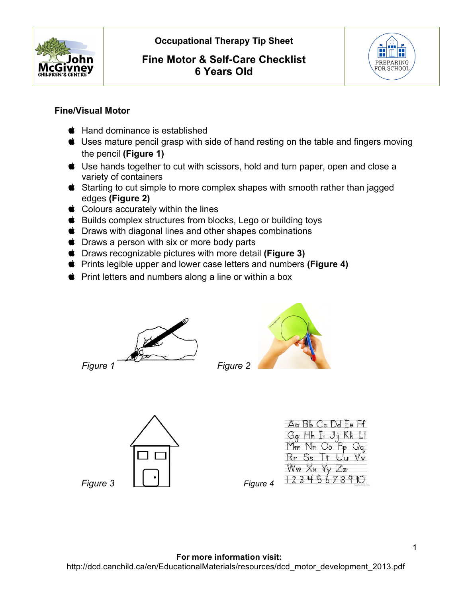

## **Fine Motor & Self-Care Checklist 6 Years Old**



## **Fine/Visual Motor**

- $\bullet$  Hand dominance is established
- Uses mature pencil grasp with side of hand resting on the table and fingers moving the pencil **(Figure 1)**
- Use hands together to cut with scissors, hold and turn paper, open and close a variety of containers
- Starting to cut simple to more complex shapes with smooth rather than jagged edges **(Figure 2)**
- Colours accurately within the lines
- **■** Builds complex structures from blocks, Lego or building toys
- $\bullet$  Draws with diagonal lines and other shapes combinations
- **Comparished Draws a person with six or more body parts**
- Draws recognizable pictures with more detail **(Figure 3)**
- Prints legible upper and lower case letters and numbers **(Figure 4)**
- $\bullet$  Print letters and numbers along a line or within a box









| Aa Bb Cc Dd Ee Ff                |
|----------------------------------|
| Gq Hh Ii Jj Kk Ll                |
| Mm Nn Oo Pp Qq<br>Rr Ss Tt Uu Vv |
|                                  |
| Ww Xx Yy Zz                      |
| 1234567890                       |